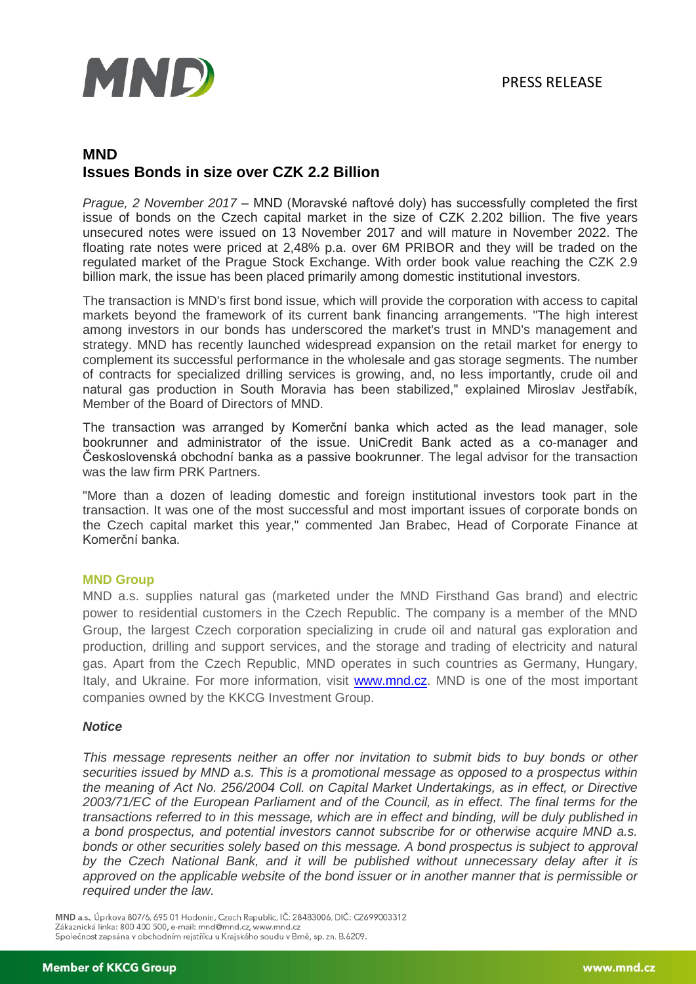

# **MND Issues Bonds in size over CZK 2.2 Billion**

*Prague, 2 November 2017* – MND (Moravské naftové doly) has successfully completed the first issue of bonds on the Czech capital market in the size of CZK 2.202 billion. The five years unsecured notes were issued on 13 November 2017 and will mature in November 2022. The floating rate notes were priced at 2,48% p.a. over 6M PRIBOR and they will be traded on the regulated market of the Prague Stock Exchange. With order book value reaching the CZK 2.9 billion mark, the issue has been placed primarily among domestic institutional investors.

The transaction is MND's first bond issue, which will provide the corporation with access to capital markets beyond the framework of its current bank financing arrangements. "The high interest among investors in our bonds has underscored the market's trust in MND's management and strategy. MND has recently launched widespread expansion on the retail market for energy to complement its successful performance in the wholesale and gas storage segments. The number of contracts for specialized drilling services is growing, and, no less importantly, crude oil and natural gas production in South Moravia has been stabilized," explained Miroslav Jestřabík, Member of the Board of Directors of MND.

The transaction was arranged by Komerční banka which acted as the lead manager, sole bookrunner and administrator of the issue. UniCredit Bank acted as a co-manager and Československá obchodní banka as a passive bookrunner. The legal advisor for the transaction was the law firm PRK Partners.

"More than a dozen of leading domestic and foreign institutional investors took part in the transaction. It was one of the most successful and most important issues of corporate bonds on the Czech capital market this year," commented Jan Brabec, Head of Corporate Finance at Komerční banka.

### **MND Group**

MND a.s. supplies natural gas (marketed under the MND Firsthand Gas brand) and electric power to residential customers in the Czech Republic. The company is a member of the MND Group, the largest Czech corporation specializing in crude oil and natural gas exploration and production, drilling and support services, and the storage and trading of electricity and natural gas. Apart from the Czech Republic, MND operates in such countries as Germany, Hungary, Italy, and Ukraine. For more information, visit **www.mnd.cz**. MND is one of the most important companies owned by the KKCG Investment Group.

#### *Notice*

*This message represents neither an offer nor invitation to submit bids to buy bonds or other securities issued by MND a.s. This is a promotional message as opposed to a prospectus within the meaning of Act No. 256/2004 Coll. on Capital Market Undertakings, as in effect, or Directive 2003/71/EC of the European Parliament and of the Council, as in effect. The final terms for the transactions referred to in this message, which are in effect and binding, will be duly published in a bond prospectus, and potential investors cannot subscribe for or otherwise acquire MND a.s.*  bonds or other securities solely based on this message. A bond prospectus is subject to approval *by the Czech National Bank, and it will be published without unnecessary delay after it is approved on the applicable website of the bond issuer or in another manner that is permissible or required under the law.* 

MND a.s., Úprkova 807/6, 695 01 Hodonín, Czech Republic, IČ: 28483006, DIČ: CZ699003312 Zákaznická linka: 800 400 500, e-mail: mnd@mnd.cz, www.mnd.cz Společnost zapsána v obchodním rejstříku u Krajského soudu v Brně, sp. zn. B.6209.